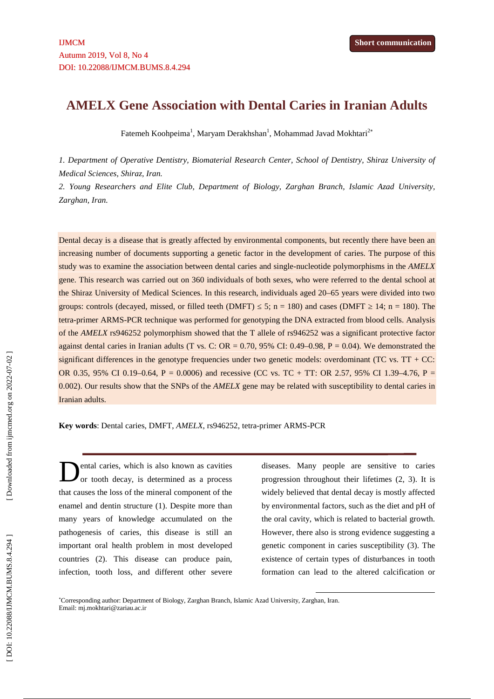# **AMELX Gene Association with Dental Caries in Iranian Adults**

Fatemeh Koohpeima $^{\rm l}$ , Maryam Derakhshan $^{\rm l}$ , Mohammad Javad Mokhtari $^{\rm 2*}$ 

*1. Department of Operative Dentistry, Biomaterial Research Center, School of Dentistry, Shiraz University of Medical Sciences, Shiraz, Iran.*

*2. Young Researchers and Elite Club, Department of Biology, Zarghan Branch, Islamic Azad University, Zarghan, Iran.*

Dental decay is a disease that is greatly affected by environmental components, but recently there have been an increasing number of documents supporting a genetic factor in the development of caries. The purpose of this study was to examine the association between dental caries and single-nucleotide polymorphisms in the *AMELX* gene. This research was carried out on 360 individuals of both sexes, who were referred to the dental school at the Shiraz University of Medical Sciences. In this research, individuals aged 20–65 years were divided into two groups: controls (decayed, missed, or filled teeth (DMFT)  $5$ ; n = 180) and cases (DMFT  $\,$  14; n = 180). The tetra-primer ARMS-PCR technique was performed for genotyping the DNA extracted from blood cells. Analysis of the *AMELX* rs946252 polymorphism showed that the T allele of rs946252 was a significant protective factor against dental caries in Iranian adults (T vs. C: OR =  $0.70$ , 95% CI:  $0.49-0.98$ , P =  $0.04$ ). We demonstrated the significant differences in the genotype frequencies under two genetic models: overdominant (TC vs.  $TT + CC$ ) OR 0.35, 95% CI 0.19–0.64, P = 0.0006) and recessive (CC vs. TC + TT: OR 2.57, 95% CI 1.39–4.76, P = 0.002). Our results show that the SNPs of the *AMELX* gene may be related with susceptibility to dental caries in Iranian adults. **Example 11 CONDITE CONDITE CONDITE CONDITE CONDITE CONDITE CONDITE CONDITE CONDITE CONDITE CONDITE CONDITE CONDITE CONDITE CONDITE CONDITE CONDITE CONDITE CONDITE CONDITE CONDITE CONDITE CONDITE CONDITE CONDITE CONDITE** 

**Key words**: Dental caries, DMFT, *AMELX*, rs946252, tetra-primer ARMS-PCR

ental caries, which is also known as cavities or tooth decay, is determined as a process that causes the loss of the mineral component of the enamel and dentin structure (1). Despite more than many years of knowledge accumulated on the pathogenesis of caries, this disease is still an important oral health problem in most developed countries (2). This disease can produce pain, infection, tooth loss, and different other severe

diseases. Many people are sensitive to caries progression throughout their lifetimes (2, 3). It is widely believed that dental decay is mostly affected by environmental factors, such as the diet and pH of the oral cavity, which is related to bacterial growth. However, there also is strong evidence suggesting a genetic component in caries susceptibility (3). The existence of certain types of disturbances in tooth

Corresponding author: Department of Biology, Zarghan Branch, Islamic Azad University, Zarghan, Iran. Email: mj.mokhtari@zariau.ac.ir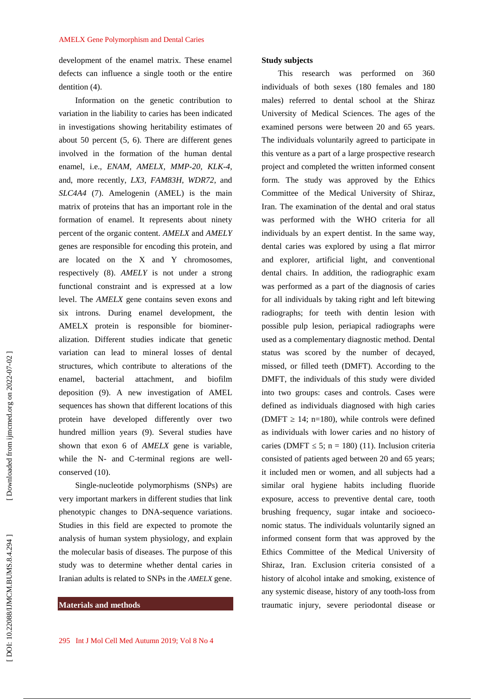development of the enamel matrix. These enamel defects can influence a single tooth or the entire dentition (4).

Information on the genetic contribution to variation in the liability to caries has been indicated in investigations showing heritability estimates of about 50 percent (5, 6). There are different genes involved in the formation of the human dental enamel, i.e., *ENAM*, *AMELX*, *MMP-20*, *KLK-4*, and, more recently, *LX3*, *FAM83H*, *WDR72*, and *SLC4A4* (7). Amelogenin (AMEL) is the main matrix of proteins that has an important role in the formation of enamel. It represents about ninety percent of the organic content. *AMELX* and *AMELY* genes are responsible for encoding this protein, and are located on the X and Y chromosomes, respectively (8). *AMELY* is not under a strong functional constraint and is expressed at a low level. The *AMELX* gene contains seven exons and six introns. During enamel development, the AMELX protein is responsible for biominer alization. Different studies indicate that genetic variation can lead to mineral losses of dental structures, which contribute to alterations of the enamel, bacterial attachment, and biofilm deposition (9). A new investigation of AMEL sequences has shown that different locations of this protein have developed differently over two hundred million years (9). Several studies have shown that exon 6 of *AMELX* gene is variable, while the N- and C-terminal regions are well conserved (10).

Single-nucleotide polymorphisms (SNPs) are very important markers in different studies that link phenotypic changes to DNA-sequence variations. Studies in this field are expected to promote the analysis of human system physiology, and explain the molecular basis of diseases. The purpose of this study was to determine whether dental caries in Iranian adults is related to SNPs in the *AMELX* gene.

## **Materials and methods**

#### **Study subjects**

This research was performed on 360 individuals of both sexes (180 females and 180 males) referred to dental school at the Shiraz University of Medical Sciences. The ages of the examined persons were between 20 and 65 years. The individuals voluntarily agreed to participate in this venture as a part of a large prospective research project and completed the written informed consent form. The study was approved by the Ethics Committee of the Medical University of Shiraz, Iran. The examination of the dental and oral status was performed with the WHO criteria for all individuals by an expert dentist. In the same way, dental caries was explored by using a flat mirror and explorer, artificial light, and conventional dental chairs. In addition, the radiographic exam was performed as a part of the diagnosis of caries for all individuals by taking right and left bitewing radiographs; for teeth with dentin lesion with possible pulp lesion, periapical radiographs were used as a complementary diagnostic method. Dental status was scored by the number of decayed, missed, or filled teeth (DMFT). According to the DMFT, the individuals of this study were divided into two groups: cases and controls. Cases were defined as individuals diagnosed with high caries (DMFT  $\,$  14; n=180), while controls were defined as individuals with lower caries and no history of caries (DMFT  $5$ ; n = 180) (11). Inclusion criteria consisted of patients aged between 20 and 65 years; it included men or women, and all subjects had a similar oral hygiene habits including fluoride exposure, access to preventive dental care, tooth brushing frequency, sugar intake and socioeco nomic status. The individuals voluntarily signed an informed consent form that was approved by the Ethics Committee of the Medical University of Shiraz, Iran. Exclusion criteria consisted of a history of alcohol intake and smoking, existence of any systemic disease, history of any tooth-loss from traumatic injury, severe periodontal disease or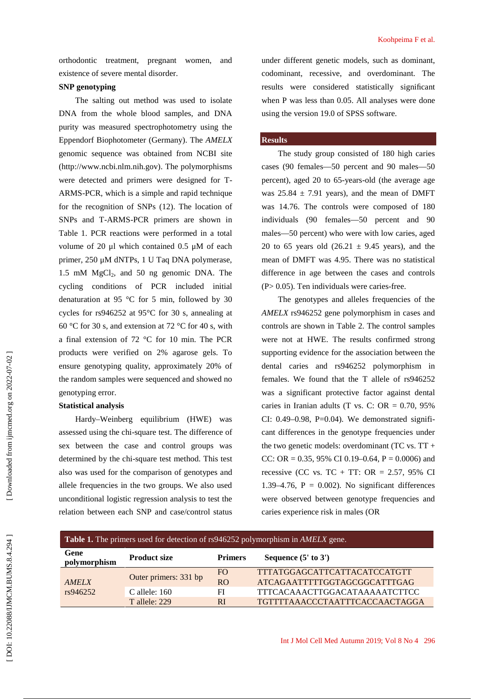orthodontic treatment, pregnant women, and existence of severe mental disorder.

# **SNP genotyping**

The salting out method was used to isolate DNA from the whole blood samples, and DNA purity was measured spectrophotometry using the Eppendorf Biophotometer (Germany). The *AMELX* genomic sequence was obtained from NCBI site (http://www.ncbi.nlm.nih.gov). The polymorphisms were detected and primers were designed for T- ARMS-PCR, which is a simple and rapid technique for the recognition of SNPs (12). The location of SNPs and T-ARMS-PCR primers are shown in Table 1. PCR reactions were performed in a total volume of 20 μl which contained 0.5 μM of each primer, 250 μM dNTPs, 1 U Taq DNA polymerase, 1.5 mM  $MgCl<sub>2</sub>$ , and 50 ng genomic DNA. The cycling conditions of PCR included initial denaturation at 95 °C for 5 min, followed by 30 cycles for rs946252 at 95°C for 30 s, annealing at 60 °C for 30 s, and extension at 72 °C for 40 s, with a final extension of 72 °C for 10 min. The PCR products were verified on 2% agarose gels. To ensure genotyping quality, approximately 20% of the random samples were sequenced and showed no genotyping error.

## **Statistical analysis**

Hardy–Weinberg equilibrium (HWE) was assessed using the chi-square test. The difference of sex between the case and control groups was determined by the chi-square test method. This test also was used for the comparison of genotypes and allele frequencies in the two groups. We also used unconditional logistic regression analysis to test the relation between each SNP and case/control status

under different genetic models, such as dominant, codominant, recessive, and overdominant. The results were considered statistically significant when P was less than 0.05. All analyses were done using the version 19.0 of SPSS software.

# **Results**

The study group consisted of 180 high caries cases (90 females —50 percent and 90 males —50 percent), aged 20 to 65-years-old (the average age was  $25.84 \pm 7.91$  years), and the mean of DMFT was 14.76. The controls were composed of 180 individuals (90 females —50 percent and 90 males —50 percent) who were with low caries, aged 20 to 65 years old  $(26.21 \pm 9.45$  years), and the mean of DMFT was 4.95. There was no statistical difference in age between the cases and controls (P> 0.05). Ten individuals were caries-free.

The genotypes and alleles frequencies of the *AMELX* rs946252 gene polymorphism in cases and controls are shown in Table 2. The control samples were not at HWE. The results confirmed strong supporting evidence for the association between the dental caries and rs946252 polymorphism in females. We found that the T allele of rs946252 was a significant protective factor against dental caries in Iranian adults (T vs. C: OR  $= 0.70, 95\%$ CI:  $0.49-0.98$ , P=0.04). We demonstrated significant differences in the genotype frequencies under the two genetic models: overdominant (TC vs.  $TT +$ CC: OR =  $0.35$ , 95% CI 0.19–0.64, P = 0.0006) and recessive (CC vs. TC + TT: OR =  $2.57$ , 95% CI 1.39–4.76,  $P = 0.002$ ). No significant differences were observed between genotype frequencies and caries experience risk in males (OR

| <b>Table 1.</b> The primers used for detection of rs946252 polymorphism in <i>AMELX</i> gene. |                       |                |                                |  |  |  |
|-----------------------------------------------------------------------------------------------|-----------------------|----------------|--------------------------------|--|--|--|
| Gene<br>polymorphism                                                                          | <b>Product size</b>   | <b>Primers</b> | Sequence $(5'$ to $3')$        |  |  |  |
| AMELX<br>rs946252                                                                             | Outer primers: 331 bp | FO.            | TTTATGGAGCATTCATTACATCCATGTT   |  |  |  |
|                                                                                               |                       | RO             | ATCAGAATTTTTGGTAGCGGCATTTGAG   |  |  |  |
|                                                                                               | $C$ allele: 160       | FI             | TTTCACAAACTTGGACATAAAAATCTTCC  |  |  |  |
|                                                                                               | <b>T</b> allele: 229  | <sub>RI</sub>  | TGTTTTAAACCCTAATTTCACCAACTAGGA |  |  |  |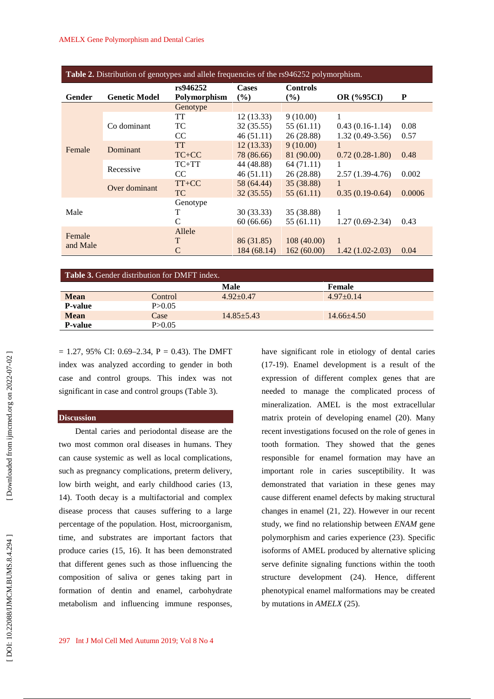| <b>Table 2.</b> Distribution of genotypes and allele frequencies of the rs946252 polymorphism. |                      |                                 |                        |                           |                   |        |  |  |
|------------------------------------------------------------------------------------------------|----------------------|---------------------------------|------------------------|---------------------------|-------------------|--------|--|--|
| Gender                                                                                         | <b>Genetic Model</b> | rs946252<br><b>Polymorphism</b> | <b>Cases</b><br>$($ %) | <b>Controls</b><br>$($ %) | <b>OR</b> (%95CI) | P      |  |  |
|                                                                                                |                      | Genotype                        |                        |                           |                   |        |  |  |
| Female                                                                                         | Co dominant          | TT                              | 12(13.33)              | 9(10.00)                  | 1                 |        |  |  |
|                                                                                                |                      | TC                              | 32(35.55)              | 55(61.11)                 | $0.43(0.16-1.14)$ | 0.08   |  |  |
|                                                                                                |                      | CC                              | 46(51.11)              | 26 (28.88)                | $1.32(0.49-3.56)$ | 0.57   |  |  |
|                                                                                                | Dominant             | <b>TT</b>                       | 12(13.33)              | 9(10.00)                  | 1                 |        |  |  |
|                                                                                                |                      | $TC+CC$                         | 78 (86.66)             | 81 (90.00)                | $0.72(0.28-1.80)$ | 0.48   |  |  |
|                                                                                                | Recessive            | $TC+TT$                         | 44 (48.88)             | 64 (71.11)                |                   |        |  |  |
|                                                                                                |                      | CC.                             | 46(51.11)              | 26(28.88)                 | $2.57(1.39-4.76)$ | 0.002  |  |  |
|                                                                                                | Over dominant        | $TT+CC$                         | 58 (64.44)             | 35(38.88)                 |                   |        |  |  |
|                                                                                                |                      | <b>TC</b>                       | 32(35.55)              | 55(61.11)                 | $0.35(0.19-0.64)$ | 0.0006 |  |  |
|                                                                                                |                      | Genotype                        |                        |                           |                   |        |  |  |
| Male                                                                                           |                      | T                               | 30(33.33)              | 35 (38.88)                |                   |        |  |  |
|                                                                                                |                      | C                               | 60(66.66)              | 55 (61.11)                | $1.27(0.69-2.34)$ | 0.43   |  |  |
| Female<br>and Male                                                                             |                      | Allele                          |                        |                           |                   |        |  |  |
|                                                                                                |                      | T                               | 86 (31.85)             | 108(40.00)                | 1                 |        |  |  |
|                                                                                                |                      | C                               | 184 (68.14)            | 162(60.00)                | $1.42(1.02-2.03)$ | 0.04   |  |  |

| <b>Table 3.</b> Gender distribution for DMFT index. |          |                 |                |  |  |  |  |
|-----------------------------------------------------|----------|-----------------|----------------|--|--|--|--|
|                                                     |          | <b>Male</b>     | Female         |  |  |  |  |
| <b>Mean</b>                                         | Control  | $4.92 \pm 0.47$ | $4.97+0.14$    |  |  |  |  |
| <b>P-value</b>                                      | P > 0.05 |                 |                |  |  |  |  |
| <b>Mean</b>                                         | Case     | $14.85 + 5.43$  | $14.66 + 4.50$ |  |  |  |  |
| <b>P-value</b>                                      | P > 0.05 |                 |                |  |  |  |  |
|                                                     |          |                 |                |  |  |  |  |

 $= 1.27, 95\%$  CI: 0.69–2.34, P = 0.43). The DMFT index was analyzed according to gender in both case and control groups. This index was not significant in case and control groups (Table 3).

#### **Discussion**

Dental caries and periodontal disease are the two most common oral diseases in humans. They can cause systemic as well as local complications, such as pregnancy complications, preterm delivery, low birth weight, and early childhood caries (13, 14). Tooth decay is a multifactorial and complex disease process that causes suffering to a large percentage of the population. Host, microorganism, time, and substrates are important factors that produce caries (15, 16). It has been demonstrated that different genes such as those influencing the composition of saliva or genes taking part in formation of dentin and enamel, carbohydrate metabolism and influencing immune responses, Examples and control and control and the matrices and control and the endoted in the angle of the same and control groups. This index was not expression of different complex significant in case and control groups (Table

have significant role in etiology of dental caries (17-19). Enamel development is a result of the expression of different complex genes that are needed to manage the complicated process of mineralization. AMEL is the most extracellular matrix protein of developing enamel (20). Many recent investigations focused on the role of genes in tooth formation. They showed that the genes responsible for enamel formation may have an important role in caries susceptibility. It was demonstrated that variation in these genes may cause different enamel defects by making structural changes in enamel (21, 22). However in our recent study, we find no relationship between *ENAM* gene polymorphism and caries experience (23). Specific isoforms of AMEL produced by alternative splicing serve definite signaling functions within the tooth structure development (24). Hence, different phenotypical enamel malformations may be created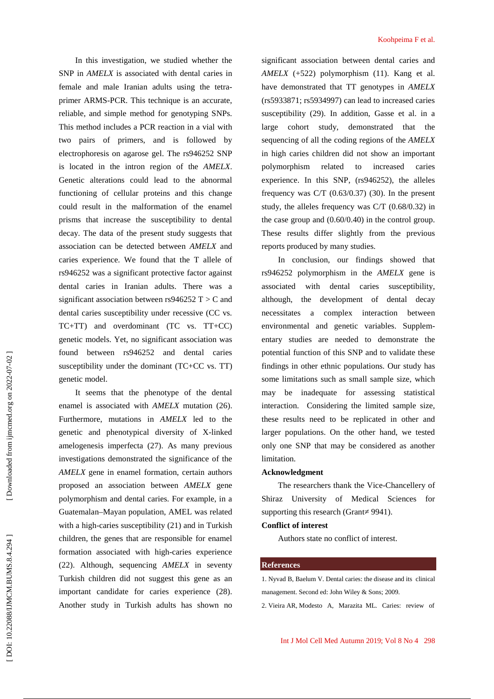In this investigation, we studied whether the SNP in *AMELX* is associated with dental caries in female and male Iranian adults using the tetra primer ARMS-PCR. This technique is an accurate, reliable, and simple method for genotyping SNPs. This method includes a PCR reaction in a vial with two pairs of primers, and is followed by electrophoresis on agarose gel. The rs946252 SNP is located in the intron region of the *AMELX*. Genetic alterations could lead to the abnormal functioning of cellular proteins and this change could result in the malformation of the enamel prisms that increase the susceptibility to dental decay. The data of the present study suggests that association can be detected between *AMELX* and caries experience. We found that the T allele of rs946252 was a significant protective factor against dental caries in Iranian adults. There was a significant association between rs946252 T  $>$  C and dental caries susceptibility under recessive (CC vs. TC+TT) and overdominant (TC vs. TT+CC) genetic models. Yet, no significant association was found between rs946252 and dental caries susceptibility under the dominant (TC+CC vs. TT) genetic model.

It seems that the phenotype of the dental enamel is associated with *AMELX* mutation (26). Furthermore, mutations in *AMELX* led to the genetic and phenotypical diversity of X-linked amelogenesis imperfecta (27). As many previous investigations demonstrated the significance of the *AMELX* gene in enamel formation, certain authors proposed an association between *AMELX* gene polymorphism and dental caries. For example, in a Guatemalan–Mayan population, AMEL was related with a high-caries susceptibility (21) and in Turkish children, the genes that are responsible for enamel formation associated with high-caries experience (22). Although, sequencing *AMELX* in seventy Turkish children did not suggest this gene as an important candidate for caries experience (28). Another study in Turkish adults has shown no Koohpeima F et al.

significant association between dental caries and *AMELX* (+522) polymorphism (11). Kang et al. have demonstrated that TT genotypes in *AMELX* (rs5933871; rs5934997) can lead to increased caries susceptibility (29). In addition, Gasse et al. in a large cohort study, demonstrated that the sequencing of all the coding regions of the *AMELX* in high caries children did not show an important polymorphism related to increased caries experience. In this SNP, (rs946252), the alleles frequency was  $C/T$  (0.63/0.37) (30). In the present study, the alleles frequency was C/T (0.68/0.32) in the case group and (0.60/0.40) in the control group. These results differ slightly from the previous reports produced by many studies.

In conclusion, our findings showed that rs946252 polymorphism in the *AMELX* gene is associated with dental caries susceptibility, although, the development of dental decay necessitates a complex interaction between environmental and genetic variables. Supplem entary studies are needed to demonstrate the potential function of this SNP and to validate these findings in other ethnic populations. Our study has some limitations such as small sample size, which may be inadequate for assessing statistical interaction. Considering the limited sample size, these results need to be replicated in other and larger populations. On the other hand, we tested only one SNP that may be considered as another limitation.

# **Acknowledgment**

The researchers thank the Vice-Chancellery of Shiraz University of Medical Sciences for supporting this research (Grant 9941).

# **Conflict of interest**

Authors state no conflict of interest.

#### **References**

1. Nyvad B, Baelum V. Dental caries: the disease and its clinical management. Second ed: John Wiley & Sons; 2009.

2. Vieira AR, Modesto A, Marazita ML. Caries: review of